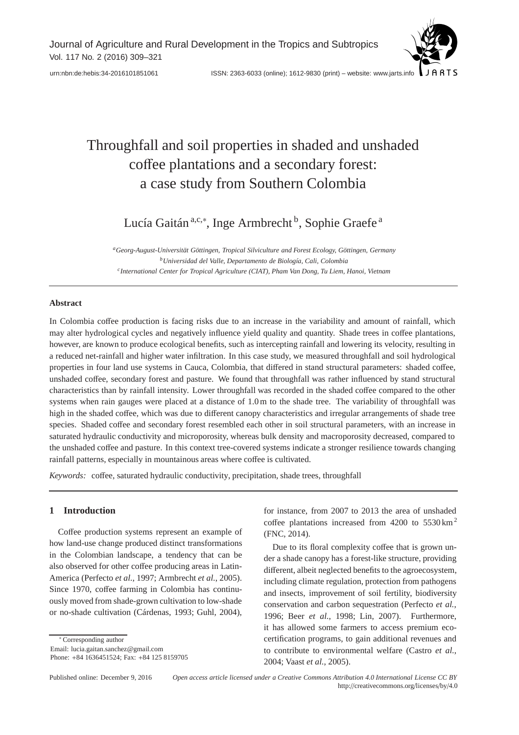Journal of Agriculture and Rural Development in the Tropics and Subtropics Vol. 117 No. 2 (2016) 309–321



[urn:nbn:de:hebis:34-2016101851061](http://nbn-resolving.de/urn:nbn:de:hebis:34-2016101851061) ISSN: 2363-6033 (online); 1612-9830 (print) – website: www.jarts.info

# Throughfall and soil properties in shaded and unshaded coffee plantations and a secondary forest: a case study from Southern Colombia

Lucía Gaitán ª,c,\*, Inge Armbrecht <sup>b</sup>, Sophie Graefe <sup>a</sup>

*aGeorg-August-Universität Göttingen, Tropical Silviculture and Forest Ecology, Göttingen, Germany bUniversidad del Valle, Departamento de Biología, Cali, Colombia cInternational Center for Tropical Agriculture (CIAT), Pham Van Dong, Tu Liem, Hanoi, Vietnam*

## **Abstract**

In Colombia coffee production is facing risks due to an increase in the variability and amount of rainfall, which may alter hydrological cycles and negatively influence yield quality and quantity. Shade trees in coffee plantations, however, are known to produce ecological benefits, such as intercepting rainfall and lowering its velocity, resulting in a reduced net-rainfall and higher water infiltration. In this case study, we measured throughfall and soil hydrological properties in four land use systems in Cauca, Colombia, that differed in stand structural parameters: shaded coffee, unshaded coffee, secondary forest and pasture. We found that throughfall was rather influenced by stand structural characteristics than by rainfall intensity. Lower throughfall was recorded in the shaded coffee compared to the other systems when rain gauges were placed at a distance of 1.0 m to the shade tree. The variability of throughfall was high in the shaded coffee, which was due to different canopy characteristics and irregular arrangements of shade tree species. Shaded coffee and secondary forest resembled each other in soil structural parameters, with an increase in saturated hydraulic conductivity and microporosity, whereas bulk density and macroporosity decreased, compared to the unshaded coffee and pasture. In this context tree-covered systems indicate a stronger resilience towards changing rainfall patterns, especially in mountainous areas where coffee is cultivated.

*Keywords:* coffee, saturated hydraulic conductivity, precipitation, shade trees, throughfall

# **1 Introduction**

Coffee production systems represent an example of how land-use change produced distinct transformations in the Colombian landscape, a tendency that can be also observed for other coffee producing areas in Latin-America (Perfecto *et al.*, 1997; Armbrecht *et al.*, 2005). Since 1970, coffee farming in Colombia has continuously moved from shade-grown cultivation to low-shade or no-shade cultivation (Cárdenas, 1993; Guhl, 2004),

∗ Corresponding author Email: lucia.gaitan.sanchez@gmail.com Phone: +84 1636451524; Fax: +84 125 8159705 for instance, from 2007 to 2013 the area of unshaded coffee plantations increased from  $4200$  to  $5530 \text{ km}^2$ (FNC, 2014).

Due to its floral complexity coffee that is grown under a shade canopy has a forest-like structure, providing different, albeit neglected benefits to the agroecosystem, including climate regulation, protection from pathogens and insects, improvement of soil fertility, biodiversity conservation and carbon sequestration (Perfecto *et al.*, 1996; Beer *et al.*, 1998; Lin, 2007). Furthermore, it has allowed some farmers to access premium ecocertification programs, to gain additional revenues and to contribute to environmental welfare (Castro *et al.*, 2004; Vaast *et al.*, 2005).

Published online: December 9, 2016 *Open access article licensed under a Creative Commons Attribution 4.0 International License CC BY* http://creativecommons.org/licenses/by/4.0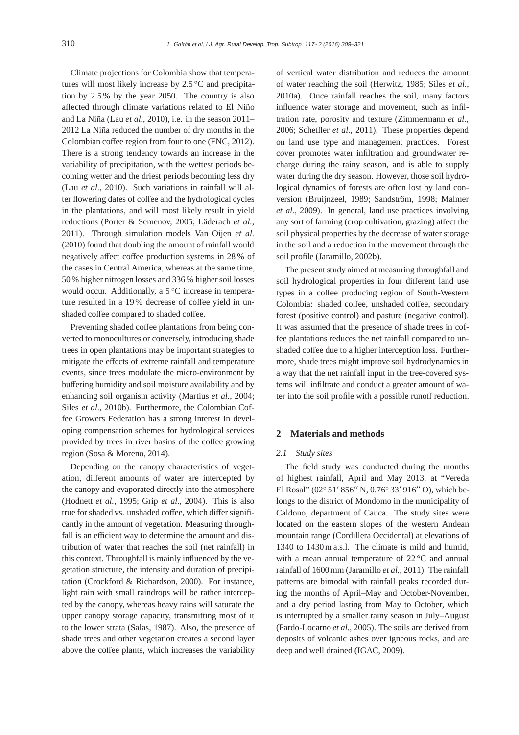Climate projections for Colombia show that temperatures will most likely increase by 2.5 °C and precipitation by 2.5 % by the year 2050. The country is also affected through climate variations related to El Niño and La Niña (Lau *et al.*, 2010), i.e. in the season 2011– 2012 La Niña reduced the number of dry months in the Colombian coffee region from four to one (FNC, 2012). There is a strong tendency towards an increase in the variability of precipitation, with the wettest periods becoming wetter and the driest periods becoming less dry (Lau *et al.*, 2010). Such variations in rainfall will alter flowering dates of coffee and the hydrological cycles in the plantations, and will most likely result in yield reductions (Porter & Semenov, 2005; Läderach *et al.*, 2011). Through simulation models Van Oijen *et al.* (2010) found that doubling the amount of rainfall would negatively affect coffee production systems in 28 % of the cases in Central America, whereas at the same time, 50 % higher nitrogen losses and 336 % higher soil losses would occur. Additionally, a 5 °C increase in temperature resulted in a 19 % decrease of coffee yield in unshaded coffee compared to shaded coffee.

Preventing shaded coffee plantations from being converted to monocultures or conversely, introducing shade trees in open plantations may be important strategies to mitigate the effects of extreme rainfall and temperature events, since trees modulate the micro-environment by buffering humidity and soil moisture availability and by enhancing soil organism activity (Martius *et al.*, 2004; Siles *et al.*, 2010b). Furthermore, the Colombian Coffee Growers Federation has a strong interest in developing compensation schemes for hydrological services provided by trees in river basins of the coffee growing region (Sosa & Moreno, 2014).

Depending on the canopy characteristics of vegetation, different amounts of water are intercepted by the canopy and evaporated directly into the atmosphere (Hodnett *et al.*, 1995; Grip *et al.*, 2004). This is also true for shaded vs. unshaded coffee, which differ significantly in the amount of vegetation. Measuring throughfall is an efficient way to determine the amount and distribution of water that reaches the soil (net rainfall) in this context. Throughfall is mainly influenced by the vegetation structure, the intensity and duration of precipitation (Crockford & Richardson, 2000). For instance, light rain with small raindrops will be rather intercepted by the canopy, whereas heavy rains will saturate the upper canopy storage capacity, transmitting most of it to the lower strata (Salas, 1987). Also, the presence of shade trees and other vegetation creates a second layer above the coffee plants, which increases the variability

of vertical water distribution and reduces the amount of water reaching the soil (Herwitz, 1985; Siles *et al.*, 2010a). Once rainfall reaches the soil, many factors influence water storage and movement, such as infiltration rate, porosity and texture (Zimmermann *et al.*, 2006; Scheffler *et al.*, 2011). These properties depend on land use type and management practices. Forest cover promotes water infiltration and groundwater recharge during the rainy season, and is able to supply water during the dry season. However, those soil hydrological dynamics of forests are often lost by land conversion (Bruijnzeel, 1989; Sandström, 1998; Malmer *et al.*, 2009). In general, land use practices involving any sort of farming (crop cultivation, grazing) affect the soil physical properties by the decrease of water storage in the soil and a reduction in the movement through the soil profile (Jaramillo, 2002b).

The present study aimed at measuring throughfall and soil hydrological properties in four different land use types in a coffee producing region of South-Western Colombia: shaded coffee, unshaded coffee, secondary forest (positive control) and pasture (negative control). It was assumed that the presence of shade trees in coffee plantations reduces the net rainfall compared to unshaded coffee due to a higher interception loss. Furthermore, shade trees might improve soil hydrodynamics in a way that the net rainfall input in the tree-covered systems will infiltrate and conduct a greater amount of water into the soil profile with a possible runoff reduction.

# **2 Materials and methods**

## *2.1 Study sites*

The field study was conducted during the months of highest rainfall, April and May 2013, at "Vereda El Rosal" (02° 51′ 856″ N, 0.76° 33′ 916″ O), which belongs to the district of Mondomo in the municipality of Caldono, department of Cauca. The study sites were located on the eastern slopes of the western Andean mountain range (Cordillera Occidental) at elevations of 1340 to 1430 m a.s.l. The climate is mild and humid, with a mean annual temperature of 22 °C and annual rainfall of 1600 mm (Jaramillo *et al.*, 2011). The rainfall patterns are bimodal with rainfall peaks recorded during the months of April–May and October-November, and a dry period lasting from May to October, which is interrupted by a smaller rainy season in July–August (Pardo-Locarno *et al.*, 2005). The soils are derived from deposits of volcanic ashes over igneous rocks, and are deep and well drained (IGAC, 2009).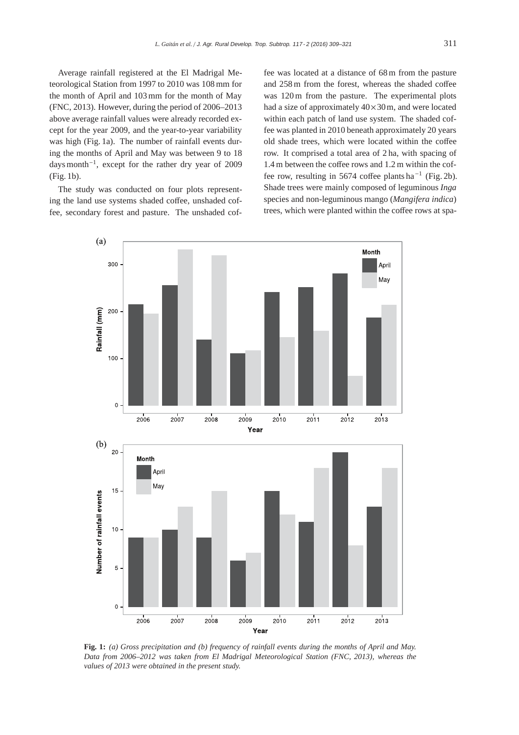Average rainfall registered at the El Madrigal Meteorological Station from 1997 to 2010 was 108 mm for the month of April and 103 mm for the month of May (FNC, 2013). However, during the period of 2006–2013 above average rainfall values were already recorded except for the year 2009, and the year-to-year variability was high (Fig. 1a). The number of rainfall events during the months of April and May was between 9 to 18 days month−1, except for the rather dry year of 2009 (Fig. 1b).

The study was conducted on four plots representing the land use systems shaded coffee, unshaded coffee, secondary forest and pasture. The unshaded cof-

fee was located at a distance of 68 m from the pasture and 258 m from the forest, whereas the shaded coffee was 120 m from the pasture. The experimental plots had a size of approximately  $40 \times 30$  m, and were located within each patch of land use system. The shaded coffee was planted in 2010 beneath approximately 20 years old shade trees, which were located within the coffee row. It comprised a total area of 2 ha, with spacing of 1.4 m between the coffee rows and 1.2 m within the coffee row, resulting in 5674 coffee plants ha<sup>-1</sup> (Fig. 2b). Shade trees were mainly composed of leguminous *Inga* species and non-leguminous mango (*Mangifera indica*) trees, which were planted within the coffee rows at spa-



**Fig. 1:** *(a) Gross precipitation and (b) frequency of rainfall events during the months of April and May. Data from 2006–2012 was taken from El Madrigal Meteorological Station (FNC, 2013), whereas the values of 2013 were obtained in the present study.*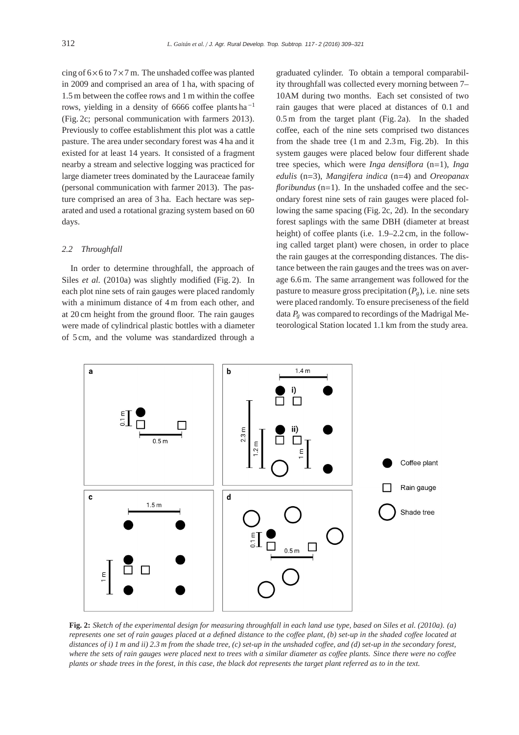cing of  $6\times 6$  to  $7\times 7$  m. The unshaded coffee was planted in 2009 and comprised an area of 1 ha, with spacing of 1.5 m between the coffee rows and 1 m within the coffee rows, yielding in a density of 6666 coffee plants ha <sup>−</sup><sup>1</sup> (Fig. 2c; personal communication with farmers 2013). Previously to coffee establishment this plot was a cattle pasture. The area under secondary forest was 4 ha and it existed for at least 14 years. It consisted of a fragment nearby a stream and selective logging was practiced for large diameter trees dominated by the Lauraceae family (personal communication with farmer 2013). The pasture comprised an area of 3 ha. Each hectare was separated and used a rotational grazing system based on 60 days.

#### *2.2 Throughfall*

In order to determine throughfall, the approach of Siles *et al.* (2010a) was slightly modified (Fig. 2). In each plot nine sets of rain gauges were placed randomly with a minimum distance of 4 m from each other, and at 20 cm height from the ground floor. The rain gauges were made of cylindrical plastic bottles with a diameter of 5 cm, and the volume was standardized through a

graduated cylinder. To obtain a temporal comparability throughfall was collected every morning between 7– 10AM during two months. Each set consisted of two rain gauges that were placed at distances of 0.1 and 0.5 m from the target plant (Fig. 2a). In the shaded coffee, each of the nine sets comprised two distances from the shade tree (1 m and 2.3 m, Fig. 2b). In this system gauges were placed below four different shade tree species, which were *Inga densiflora* (n=1), *Inga edulis* (n=3), *Mangifera indica* (n=4) and *Oreopanax floribundus* (n=1). In the unshaded coffee and the secondary forest nine sets of rain gauges were placed following the same spacing (Fig. 2c, 2d). In the secondary forest saplings with the same DBH (diameter at breast height) of coffee plants (i.e. 1.9-2.2 cm, in the following called target plant) were chosen, in order to place the rain gauges at the corresponding distances. The distance between the rain gauges and the trees was on average 6.6 m. The same arrangement was followed for the pasture to measure gross precipitation  $(P_g)$ , i.e. nine sets were placed randomly. To ensure preciseness of the field data *Pg* was compared to recordings of the Madrigal Meteorological Station located 1.1 km from the study area.



**Fig. 2:** *Sketch of the experimental design for measuring throughfall in each land use type, based on Siles et al. (2010a). (a) represents one set of rain gauges placed at a defined distance to the co*ff*ee plant, (b) set-up in the shaded co*ff*ee located at distances of i) 1 m and ii) 2.3 m from the shade tree, (c) set-up in the unshaded co*ff*ee, and (d) set-up in the secondary forest, where the sets of rain gauges were placed next to trees with a similar diameter as co*ff*ee plants. Since there were no co*ff*ee plants or shade trees in the forest, in this case, the black dot represents the target plant referred as to in the text.*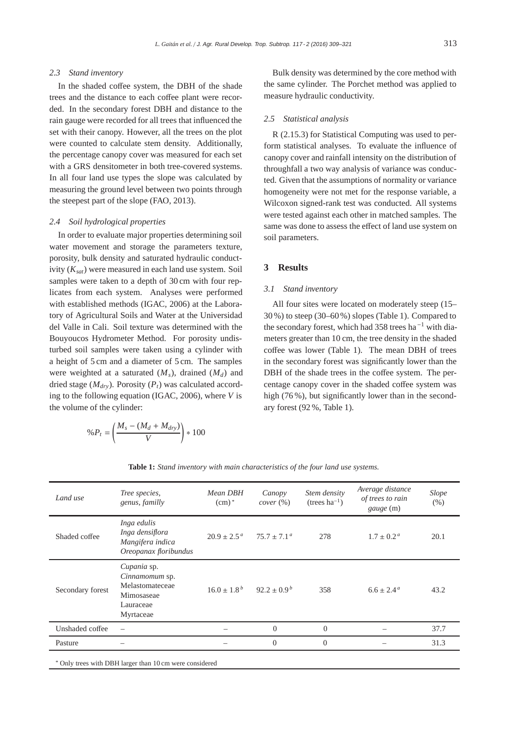## *2.3 Stand inventory*

In the shaded coffee system, the DBH of the shade trees and the distance to each coffee plant were recorded. In the secondary forest DBH and distance to the rain gauge were recorded for all trees that influenced the set with their canopy. However, all the trees on the plot were counted to calculate stem density. Additionally, the percentage canopy cover was measured for each set with a GRS densitometer in both tree-covered systems. In all four land use types the slope was calculated by measuring the ground level between two points through the steepest part of the slope (FAO, 2013).

#### *2.4 Soil hydrological properties*

In order to evaluate major properties determining soil water movement and storage the parameters texture, porosity, bulk density and saturated hydraulic conductivity (*Ksat*) were measured in each land use system. Soil samples were taken to a depth of 30 cm with four replicates from each system. Analyses were performed with established methods (IGAC, 2006) at the Laboratory of Agricultural Soils and Water at the Universidad del Valle in Cali. Soil texture was determined with the Bouyoucos Hydrometer Method. For porosity undisturbed soil samples were taken using a cylinder with a height of 5 cm and a diameter of 5 cm. The samples were weighted at a saturated  $(M<sub>s</sub>)$ , drained  $(M<sub>d</sub>)$  and dried stage  $(M_{\text{dry}})$ . Porosity  $(P_t)$  was calculated according to the following equation (IGAC, 2006), where *V* is the volume of the cylinder:

$$
\%P_t = \left(\frac{M_s - (M_d + M_{dry})}{V}\right) * 100
$$

Bulk density was determined by the core method with the same cylinder. The Porchet method was applied to measure hydraulic conductivity.

#### *2.5 Statistical analysis*

R (2.15.3) for Statistical Computing was used to perform statistical analyses. To evaluate the influence of canopy cover and rainfall intensity on the distribution of throughfall a two way analysis of variance was conducted. Given that the assumptions of normality or variance homogeneity were not met for the response variable, a Wilcoxon signed-rank test was conducted. All systems were tested against each other in matched samples. The same was done to assess the effect of land use system on soil parameters.

## **3 Results**

#### *3.1 Stand inventory*

All four sites were located on moderately steep (15– 30 %) to steep (30–60%) slopes (Table 1). Compared to the secondary forest, which had 358 trees ha−<sup>1</sup> with diameters greater than 10 cm, the tree density in the shaded coffee was lower (Table 1). The mean DBH of trees in the secondary forest was significantly lower than the DBH of the shade trees in the coffee system. The percentage canopy cover in the shaded coffee system was high (76%), but significantly lower than in the secondary forest (92 %, Table 1).

| Land use                                                | Tree species,<br>genus, familly                                                          | Mean DBH<br>$(cm)^*$   | Canopy<br>cover (%)    | Stem density<br>$(trees ha^{-1})$ | Average distance<br>of trees to rain<br>gauge (m) | Slope<br>(% ) |
|---------------------------------------------------------|------------------------------------------------------------------------------------------|------------------------|------------------------|-----------------------------------|---------------------------------------------------|---------------|
| Shaded coffee                                           | Inga edulis<br>Inga densiflora<br>Mangifera indica<br>Oreopanax floribundus              | $20.9 \pm 2.5^{\circ}$ | $75.7 \pm 7.1^{\circ}$ | 278                               | $1.7 \pm 0.2^{\circ}$                             | 20.1          |
| Secondary forest                                        | Cupania sp.<br>Cinnamomum sp.<br>Melastomateceae<br>Mimosaseae<br>Lauraceae<br>Myrtaceae | $16.0 \pm 1.8^{b}$     | $92.2 \pm 0.9^b$       | 358                               | $6.6 \pm 2.4^{\circ}$                             | 43.2          |
| Unshaded coffee                                         |                                                                                          |                        | $\overline{0}$         | $\overline{0}$                    |                                                   | 37.7          |
| Pasture                                                 |                                                                                          |                        | $\Omega$               | $\Omega$                          |                                                   | 31.3          |
| * Only trees with DBH larger than 10 cm were considered |                                                                                          |                        |                        |                                   |                                                   |               |

**Table 1:** *Stand inventory with main characteristics of the four land use systems.*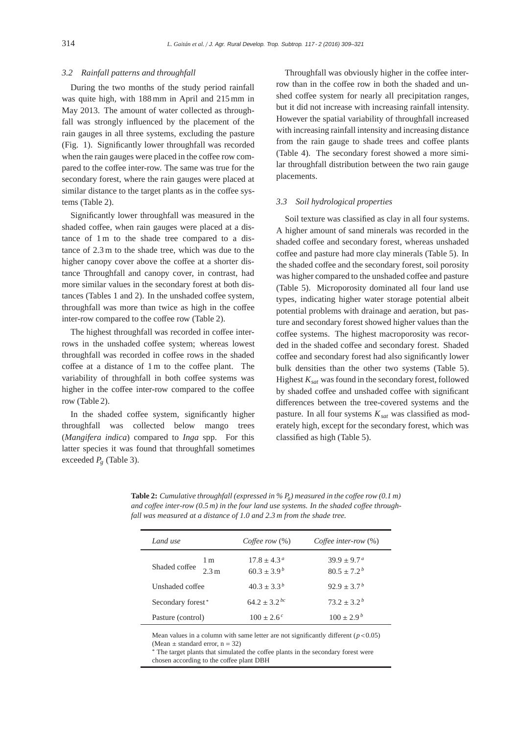## *3.2 Rainfall patterns and throughfall*

During the two months of the study period rainfall was quite high, with 188 mm in April and 215 mm in May 2013. The amount of water collected as throughfall was strongly influenced by the placement of the rain gauges in all three systems, excluding the pasture (Fig. 1). Significantly lower throughfall was recorded when the rain gauges were placed in the coffee row compared to the coffee inter-row. The same was true for the secondary forest, where the rain gauges were placed at similar distance to the target plants as in the coffee systems (Table 2).

Significantly lower throughfall was measured in the shaded coffee, when rain gauges were placed at a distance of 1 m to the shade tree compared to a distance of 2.3 m to the shade tree, which was due to the higher canopy cover above the coffee at a shorter distance Throughfall and canopy cover, in contrast, had more similar values in the secondary forest at both distances (Tables 1 and 2). In the unshaded coffee system, throughfall was more than twice as high in the coffee inter-row compared to the coffee row (Table 2).

The highest throughfall was recorded in coffee interrows in the unshaded coffee system; whereas lowest throughfall was recorded in coffee rows in the shaded coffee at a distance of 1 m to the coffee plant. The variability of throughfall in both coffee systems was higher in the coffee inter-row compared to the coffee row (Table 2).

In the shaded coffee system, significantly higher throughfall was collected below mango trees (*Mangifera indica*) compared to *Inga* spp. For this latter species it was found that throughfall sometimes exceeded *Pg* (Table 3).

Throughfall was obviously higher in the coffee interrow than in the coffee row in both the shaded and unshed coffee system for nearly all precipitation ranges, but it did not increase with increasing rainfall intensity. However the spatial variability of throughfall increased with increasing rainfall intensity and increasing distance from the rain gauge to shade trees and coffee plants (Table 4). The secondary forest showed a more similar throughfall distribution between the two rain gauge placements.

#### *3.3 Soil hydrological properties*

Soil texture was classified as clay in all four systems. A higher amount of sand minerals was recorded in the shaded coffee and secondary forest, whereas unshaded coffee and pasture had more clay minerals (Table 5). In the shaded coffee and the secondary forest, soil porosity was higher compared to the unshaded coffee and pasture (Table 5). Microporosity dominated all four land use types, indicating higher water storage potential albeit potential problems with drainage and aeration, but pasture and secondary forest showed higher values than the coffee systems. The highest macroporosity was recorded in the shaded coffee and secondary forest. Shaded coffee and secondary forest had also significantly lower bulk densities than the other two systems (Table 5). Highest *Ksat* was found in the secondary forest, followed by shaded coffee and unshaded coffee with significant differences between the tree-covered systems and the pasture. In all four systems  $K_{sat}$  was classified as moderately high, except for the secondary forest, which was classified as high (Table 5).

| Land use          |                         | Coffee row $(\%)$                          | Coffee inter-row $(\%)$                    |  |
|-------------------|-------------------------|--------------------------------------------|--------------------------------------------|--|
| Shaded coffee     | 1 m<br>2.3 <sub>m</sub> | $17.8 \pm 4.3^{\circ}$<br>$60.3 \pm 3.9^b$ | $39.9 \pm 9.7^{\circ}$<br>$80.5 \pm 7.2^b$ |  |
| Unshaded coffee   |                         | $40.3 \pm 3.3^b$                           | $92.9 \pm 3.7^b$                           |  |
| Secondary forest* |                         | $64.2 \pm 3.2^{bc}$                        | $73.2 + 3.2^{b}$                           |  |
| Pasture (control) |                         | $100 \pm 2.6^{\circ}$                      | $100 \pm 2.9^b$                            |  |

**Table 2:** *Cumulative throughfall (expressed in* %  $P<sub>g</sub>$ ) measured in the coffee row (0.1 m) *and co*ff*ee inter-row (0.5 m) in the four land use systems. In the shaded co*ff*ee throughfall was measured at a distance of 1.0 and 2.3 m from the shade tree.*

Mean values in a column with same letter are not significantly different  $(p<0.05)$ (Mean  $\pm$  standard error, n = 32)

The target plants that simulated the coffee plants in the secondary forest were chosen according to the coffee plant DBH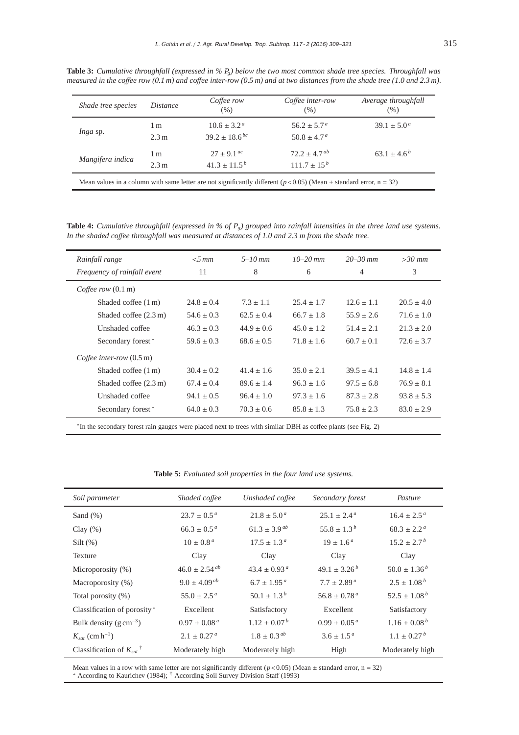**Table 3:** *Cumulative throughfall (expressed in % Pg) below the two most common shade tree species. Throughfall was measured in the co*ff*ee row (0.1 m) and co*ff*ee inter-row (0.5 m) and at two distances from the shade tree (1.0 and 2.3 m).*

| Shade tree species | <i>Distance</i> | Coffee row<br>$(\% )$  | Coffee inter-row<br>(% ) | Average throughfall<br>(% ) |
|--------------------|-----------------|------------------------|--------------------------|-----------------------------|
| Inga sp.           | 1 <sub>m</sub>  | $10.6 \pm 3.2^{\circ}$ | $56.2 \pm 5.7^{\circ}$   | $39.1 \pm 5.0^{\circ}$      |
|                    | 2.3 m           | $39.2 \pm 18.6^{bc}$   | $50.8 \pm 4.7^{\circ}$   |                             |
| Mangifera indica   | 1 <sub>m</sub>  | $27 \pm 9.1^{ac}$      | $72.2 \pm 4.7^{ab}$      | $63.1 \pm 4.6^b$            |
|                    | 2.3 m           | $41.3 \pm 11.5^b$      | $111.7 \pm 15^{b}$       |                             |

**Table 4:** *Cumulative throughfall (expressed in % of Pg) grouped into rainfall intensities in the three land use systems. In the shaded co*ff*ee throughfall was measured at distances of 1.0 and 2.3 m from the shade tree.*

| Rainfall range                                                                                                            | $<$ 5 mm       | $5 - 10$ mm    | $10 - 20$ mm   | $20 - 30$ mm   | $>30$ mm       |
|---------------------------------------------------------------------------------------------------------------------------|----------------|----------------|----------------|----------------|----------------|
| Frequency of rainfall event                                                                                               | 11             | 8              | 6              | 4              | 3              |
| Coffee row $(0.1 \text{ m})$                                                                                              |                |                |                |                |                |
| Shaded coffee (1 m)                                                                                                       | $24.8 \pm 0.4$ | $7.3 \pm 1.1$  | $25.4 \pm 1.7$ | $12.6 \pm 1.1$ | $20.5 \pm 4.0$ |
| Shaded coffee $(2.3 \text{ m})$                                                                                           | $54.6 \pm 0.3$ | $62.5 \pm 0.4$ | $66.7 \pm 1.8$ | $55.9 \pm 2.6$ | $71.6 \pm 1.0$ |
| Unshaded coffee                                                                                                           | $46.3 \pm 0.3$ | $44.9 \pm 0.6$ | $45.0 \pm 1.2$ | $51.4 \pm 2.1$ | $21.3 \pm 2.0$ |
| Secondary forest*                                                                                                         | $59.6 \pm 0.3$ | $68.6 \pm 0.5$ | $71.8 \pm 1.6$ | $60.7 \pm 0.1$ | $72.6 \pm 3.7$ |
| Coffee inter-row $(0.5 \text{ m})$                                                                                        |                |                |                |                |                |
| Shaded coffee (1 m)                                                                                                       | $30.4 \pm 0.2$ | $41.4 \pm 1.6$ | $35.0 \pm 2.1$ | $39.5 \pm 4.1$ | $14.8 \pm 1.4$ |
| Shaded coffee $(2.3 \text{ m})$                                                                                           | $67.4 \pm 0.4$ | $89.6 \pm 1.4$ | $96.3 \pm 1.6$ | $97.5 \pm 6.8$ | $76.9 \pm 8.1$ |
| Unshaded coffee                                                                                                           | $94.1 \pm 0.5$ | $96.4 \pm 1.0$ | $97.3 \pm 1.6$ | $87.3 \pm 2.8$ | $93.8 \pm 5.3$ |
| Secondary forest*                                                                                                         | $64.0 \pm 0.3$ | $70.3 \pm 0.6$ | $85.8 \pm 1.3$ | $75.8 \pm 2.3$ | $83.0 \pm 2.9$ |
| <sup>*</sup> In the secondary forest rain gauges were placed next to trees with similar DBH as coffee plants (see Fig. 2) |                |                |                |                |                |

**Table 5:** *Evaluated soil properties in the four land use systems.*

| Soil parameter                           | Shaded coffee           | Unshaded coffee             | Secondary forest        | Pasture                |
|------------------------------------------|-------------------------|-----------------------------|-------------------------|------------------------|
| Sand $(\%)$                              | $23.7 \pm 0.5^{\circ}$  | $21.8 \pm 5.0^{\circ}$      | $25.1 \pm 2.4^{\circ}$  | $16.4 \pm 2.5^{\circ}$ |
| Clay $(\%)$                              | $66.3 \pm 0.5^{\,a}$    | $61.3 \pm 3.9^{ab}$         | $55.8 \pm 1.3^b$        | $68.3 \pm 2.2^{\circ}$ |
| $Silt(\%)$                               | $10 \pm 0.8^{\circ}$    | $17.5 \pm 1.3^{\circ}$      | $19 \pm 1.6^a$          | $15.2 \pm 2.7^b$       |
| Texture                                  | Clay                    | Clay                        | Clay                    | Clay                   |
| Microporosity (%)                        | $46.0 \pm 2.54^{ab}$    | $43.4 \pm 0.93^{\circ}$     | $49.1 \pm 3.26^b$       | $50.0 \pm 1.36^b$      |
| Macroporosity (%)                        | $9.0 \pm 4.09^{ab}$     | $6.7 \pm 1.95^{\textit{a}}$ | $7.7 \pm 2.89^{\,a}$    | $2.5 \pm 1.08^{b}$     |
| Total porosity (%)                       | $55.0 \pm 2.5^{\circ}$  | $50.1 \pm 1.3^b$            | $56.8 \pm 0.78^{\circ}$ | $52.5 \pm 1.08^b$      |
| Classification of porosity*              | Excellent               | Satisfactory                | Excellent               | Satisfactory           |
| Bulk density $(g \text{ cm}^{-3})$       | $0.97 \pm 0.08^{\circ}$ | $1.12 \pm 0.07^b$           | $0.99 \pm 0.05^{\,a}$   | $1.16 \pm 0.08^{b}$    |
| $K_{sat}$ (cm h <sup>-1</sup> )          | $2.1 \pm 0.27^{\mu}$    | $1.8\pm0.3^{\,ab}$          | $3.6 \pm 1.5^{\circ}$   | $1.1 \pm 0.27^b$       |
| Classification of $K_{sat}$ <sup>†</sup> | Moderately high         | Moderately high             | High                    | Moderately high        |

Mean values in a row with same letter are not significantly different ( $p$ <0.05) (Mean  $\pm$  standard error, n = 32) \* According to Kaurichev (1984); † According Soil Survey Division Staff (1993)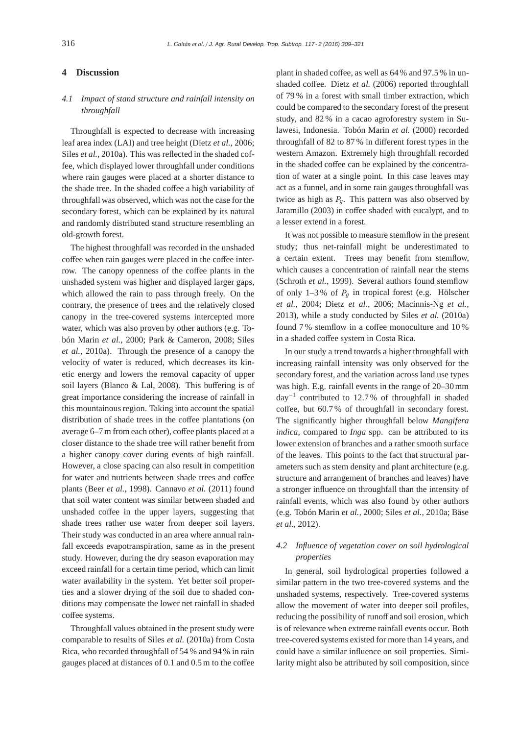# **4 Discussion**

# *4.1 Impact of stand structure and rainfall intensity on throughfall*

Throughfall is expected to decrease with increasing leaf area index (LAI) and tree height (Dietz *et al.*, 2006; Siles *et al.*, 2010a). This was reflected in the shaded coffee, which displayed lower throughfall under conditions where rain gauges were placed at a shorter distance to the shade tree. In the shaded coffee a high variability of throughfall was observed, which was not the case for the secondary forest, which can be explained by its natural and randomly distributed stand structure resembling an old-growth forest.

The highest throughfall was recorded in the unshaded coffee when rain gauges were placed in the coffee interrow. The canopy openness of the coffee plants in the unshaded system was higher and displayed larger gaps, which allowed the rain to pass through freely. On the contrary, the presence of trees and the relatively closed canopy in the tree-covered systems intercepted more water, which was also proven by other authors (e.g. Tobón Marin *et al.*, 2000; Park & Cameron, 2008; Siles *et al.*, 2010a). Through the presence of a canopy the velocity of water is reduced, which decreases its kinetic energy and lowers the removal capacity of upper soil layers (Blanco & Lal, 2008). This buffering is of great importance considering the increase of rainfall in this mountainous region. Taking into account the spatial distribution of shade trees in the coffee plantations (on average 6–7 m from each other), coffee plants placed at a closer distance to the shade tree will rather benefit from a higher canopy cover during events of high rainfall. However, a close spacing can also result in competition for water and nutrients between shade trees and coffee plants (Beer *et al.*, 1998). Cannavo *et al.* (2011) found that soil water content was similar between shaded and unshaded coffee in the upper layers, suggesting that shade trees rather use water from deeper soil layers. Their study was conducted in an area where annual rainfall exceeds evapotranspiration, same as in the present study. However, during the dry season evaporation may exceed rainfall for a certain time period, which can limit water availability in the system. Yet better soil properties and a slower drying of the soil due to shaded conditions may compensate the lower net rainfall in shaded coffee systems.

Throughfall values obtained in the present study were comparable to results of Siles *et al.* (2010a) from Costa Rica, who recorded throughfall of 54 % and 94 % in rain gauges placed at distances of 0.1 and 0.5 m to the coffee

plant in shaded coffee, as well as 64 % and 97.5 % in unshaded coffee. Dietz *et al.* (2006) reported throughfall of 79 % in a forest with small timber extraction, which could be compared to the secondary forest of the present study, and 82 % in a cacao agroforestry system in Sulawesi, Indonesia. Tobón Marin *et al.* (2000) recorded throughfall of 82 to 87 % in different forest types in the western Amazon. Extremely high throughfall recorded in the shaded coffee can be explained by the concentration of water at a single point. In this case leaves may act as a funnel, and in some rain gauges throughfall was twice as high as  $P_g$ . This pattern was also observed by Jaramillo (2003) in coffee shaded with eucalypt, and to a lesser extend in a forest.

It was not possible to measure stemflow in the present study; thus net-rainfall might be underestimated to a certain extent. Trees may benefit from stemflow, which causes a concentration of rainfall near the stems (Schroth *et al.*, 1999). Several authors found stemflow of only  $1-3\%$  of  $P_{g}$  in tropical forest (e.g. Hölscher *et al.*, 2004; Dietz *et al.*, 2006; Macinnis-Ng *et al.*, 2013), while a study conducted by Siles *et al.* (2010a) found 7 % stemflow in a coffee monoculture and 10 % in a shaded coffee system in Costa Rica.

In our study a trend towards a higher throughfall with increasing rainfall intensity was only observed for the secondary forest, and the variation across land use types was high. E.g. rainfall events in the range of 20–30 mm day−<sup>1</sup> contributed to 12.7 % of throughfall in shaded coffee, but 60.7 % of throughfall in secondary forest. The significantly higher throughfall below *Mangifera indica*, compared to *Inga* spp. can be attributed to its lower extension of branches and a rather smooth surface of the leaves. This points to the fact that structural parameters such as stem density and plant architecture (e.g. structure and arrangement of branches and leaves) have a stronger influence on throughfall than the intensity of rainfall events, which was also found by other authors (e.g. Tobón Marin *et al.*, 2000; Siles *et al.*, 2010a; Bäse *et al.*, 2012).

# *4.2 Influence of vegetation cover on soil hydrological properties*

In general, soil hydrological properties followed a similar pattern in the two tree-covered systems and the unshaded systems, respectively. Tree-covered systems allow the movement of water into deeper soil profiles, reducing the possibility of runoff and soil erosion, which is of relevance when extreme rainfall events occur. Both tree-covered systems existed for more than 14 years, and could have a similar influence on soil properties. Similarity might also be attributed by soil composition, since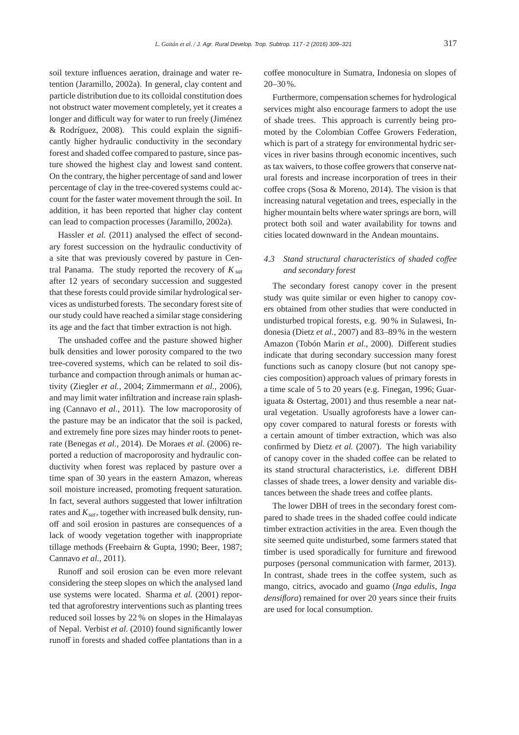soil texture influences aeration, drainage and water retention (Jaramillo, 2002a). In general, clay content and particle distribution due to its colloidal constitution does not obstruct water movement completely, yet it creates a longer and difficult way for water to run freely (Jiménez & Rodríguez, 2008). This could explain the significantly higher hydraulic conductivity in the secondary forest and shaded coffee compared to pasture, since pasture showed the highest clay and lowest sand content. On the contrary, the higher percentage of sand and lower percentage of clay in the tree-covered systems could account for the faster water movement through the soil. In addition, it has been reported that higher clay content can lead to compaction processes (Jaramillo, 2002a).

Hassler *et al.* (2011) analysed the effect of secondary forest succession on the hydraulic conductivity of a site that was previously covered by pasture in Central Panama. The study reported the recovery of  $K_{sat}$ after 12 years of secondary succession and suggested that these forests could provide similar hydrological services as undisturbed forests. The secondary forest site of our study could have reached a similar stage considering its age and the fact that timber extraction is not high.

The unshaded coffee and the pasture showed higher bulk densities and lower porosity compared to the two tree-covered systems, which can be related to soil disturbance and compaction through animals or human activity (Ziegler *et al.*, 2004; Zimmermann *et al.*, 2006), and may limit water infiltration and increase rain splashing (Cannavo *et al.*, 2011). The low macroporosity of the pasture may be an indicator that the soil is packed, and extremely fine pore sizes may hinder roots to penetrate (Benegas *et al.*, 2014). De Moraes *et al.* (2006) reported a reduction of macroporosity and hydraulic conductivity when forest was replaced by pasture over a time span of 30 years in the eastern Amazon, whereas soil moisture increased, promoting frequent saturation. In fact, several authors suggested that lower infiltration rates and  $K_{\text{sat}}$ , together with increased bulk density, runoff and soil erosion in pastures are consequences of a lack of woody vegetation together with inappropriate tillage methods (Freebairn & Gupta, 1990; Beer, 1987; Cannavo *et al.*, 2011).

Runoff and soil erosion can be even more relevant considering the steep slopes on which the analysed land use systems were located. Sharma *et al.* (2001) reported that agroforestry interventions such as planting trees reduced soil losses by 22 % on slopes in the Himalayas of Nepal. Verbist *et al.* (2010) found significantly lower runoff in forests and shaded coffee plantations than in a coffee monoculture in Sumatra, Indonesia on slopes of 20–30%.

Furthermore, compensation schemes for hydrological services might also encourage farmers to adopt the use of shade trees. This approach is currently being promoted by the Colombian Coffee Growers Federation, which is part of a strategy for environmental hydric services in river basins through economic incentives, such as tax waivers, to those coffee growers that conserve natural forests and increase incorporation of trees in their coffee crops (Sosa & Moreno, 2014). The vision is that increasing natural vegetation and trees, especially in the higher mountain belts where water springs are born, will protect both soil and water availability for towns and cities located downward in the Andean mountains.

# *4.3 Stand structural characteristics of shaded co*ff*ee and secondary forest*

The secondary forest canopy cover in the present study was quite similar or even higher to canopy covers obtained from other studies that were conducted in undisturbed tropical forests, e.g. 90 % in Sulawesi, Indonesia (Dietz *et al.*, 2007) and 83–89% in the western Amazon (Tobón Marin *et al.*, 2000). Different studies indicate that during secondary succession many forest functions such as canopy closure (but not canopy species composition) approach values of primary forests in a time scale of 5 to 20 years (e.g. Finegan, 1996; Guariguata & Ostertag, 2001) and thus resemble a near natural vegetation. Usually agroforests have a lower canopy cover compared to natural forests or forests with a certain amount of timber extraction, which was also confirmed by Dietz *et al.* (2007). The high variability of canopy cover in the shaded coffee can be related to its stand structural characteristics, i.e. different DBH classes of shade trees, a lower density and variable distances between the shade trees and coffee plants.

The lower DBH of trees in the secondary forest compared to shade trees in the shaded coffee could indicate timber extraction activities in the area. Even though the site seemed quite undisturbed, some farmers stated that timber is used sporadically for furniture and firewood purposes (personal communication with farmer, 2013). In contrast, shade trees in the coffee system, such as mango, citrics, avocado and guamo (*Inga edulis*, *Inga densiflora*) remained for over 20 years since their fruits are used for local consumption.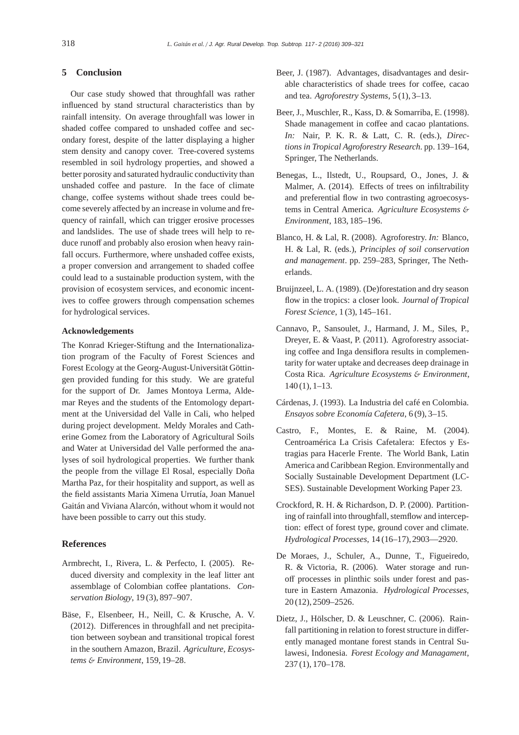# **5 Conclusion**

Our case study showed that throughfall was rather influenced by stand structural characteristics than by rainfall intensity. On average throughfall was lower in shaded coffee compared to unshaded coffee and secondary forest, despite of the latter displaying a higher stem density and canopy cover. Tree-covered systems resembled in soil hydrology properties, and showed a better porosity and saturated hydraulic conductivity than unshaded coffee and pasture. In the face of climate change, coffee systems without shade trees could become severely affected by an increase in volume and frequency of rainfall, which can trigger erosive processes and landslides. The use of shade trees will help to reduce runoff and probably also erosion when heavy rainfall occurs. Furthermore, where unshaded coffee exists, a proper conversion and arrangement to shaded coffee could lead to a sustainable production system, with the provision of ecosystem services, and economic incentives to coffee growers through compensation schemes for hydrological services.

## **Acknowledgements**

The Konrad Krieger-Stiftung and the Internationalization program of the Faculty of Forest Sciences and Forest Ecology at the Georg-August-Universität Göttingen provided funding for this study. We are grateful for the support of Dr. James Montoya Lerma, Aldemar Reyes and the students of the Entomology department at the Universidad del Valle in Cali, who helped during project development. Meldy Morales and Catherine Gomez from the Laboratory of Agricultural Soils and Water at Universidad del Valle performed the analyses of soil hydrological properties. We further thank the people from the village El Rosal, especially Doña Martha Paz, for their hospitality and support, as well as the field assistants Maria Ximena Urrutía, Joan Manuel Gaitán and Viviana Alarcón, without whom it would not have been possible to carry out this study.

## **References**

- Armbrecht, I., Rivera, L. & Perfecto, I. (2005). Reduced diversity and complexity in the leaf litter ant assemblage of Colombian coffee plantations. *Conservation Biology*, 19 (3), 897–907.
- Bäse, F., Elsenbeer, H., Neill, C. & Krusche, A. V. (2012). Differences in throughfall and net precipitation between soybean and transitional tropical forest in the southern Amazon, Brazil. *Agriculture, Ecosystems* & *Environment*, 159, 19–28.
- Beer, J. (1987). Advantages, disadvantages and desirable characteristics of shade trees for coffee, cacao and tea. *Agroforestry Systems*, 5 (1), 3–13.
- Beer, J., Muschler, R., Kass, D. & Somarriba, E. (1998). Shade management in coffee and cacao plantations. *In:* Nair, P. K. R. & Latt, C. R. (eds.), *Directions in Tropical Agroforestry Research*. pp. 139–164, Springer, The Netherlands.
- Benegas, L., Ilstedt, U., Roupsard, O., Jones, J. & Malmer, A. (2014). Effects of trees on infiltrability and preferential flow in two contrasting agroecosystems in Central America. *Agriculture Ecosystems* & *Environment*, 183, 185–196.
- Blanco, H. & Lal, R. (2008). Agroforestry. *In:* Blanco, H. & Lal, R. (eds.), *Principles of soil conservation and management*. pp. 259–283, Springer, The Netherlands.
- Bruijnzeel, L. A. (1989). (De)forestation and dry season flow in the tropics: a closer look. *Journal of Tropical Forest Science*, 1 (3), 145–161.
- Cannavo, P., Sansoulet, J., Harmand, J. M., Siles, P., Dreyer, E. & Vaast, P. (2011). Agroforestry associating coffee and Inga densiflora results in complementarity for water uptake and decreases deep drainage in Costa Rica. *Agriculture Ecosystems* & *Environment*, 140 (1), 1–13.
- Cárdenas, J. (1993). La Industria del café en Colombia. *Ensayos sobre Economía Cafetera*, 6 (9), 3–15.
- Castro, F., Montes, E. & Raine, M. (2004). Centroamérica La Crisis Cafetalera: Efectos y Estragias para Hacerle Frente. The World Bank, Latin America and Caribbean Region. Environmentally and Socially Sustainable Development Department (LC-SES). Sustainable Development Working Paper 23.
- Crockford, R. H. & Richardson, D. P. (2000). Partitioning of rainfall into throughfall, stemflow and interception: effect of forest type, ground cover and climate. *Hydrological Processes*, 14 (16–17), 2903—2920.
- De Moraes, J., Schuler, A., Dunne, T., Figueiredo, R. & Victoria, R. (2006). Water storage and runoff processes in plinthic soils under forest and pasture in Eastern Amazonia. *Hydrological Processes*, 20 (12), 2509–2526.
- Dietz, J., Hölscher, D. & Leuschner, C. (2006). Rainfall partitioning in relation to forest structure in differently managed montane forest stands in Central Sulawesi, Indonesia. *Forest Ecology and Managament*, 237 (1), 170–178.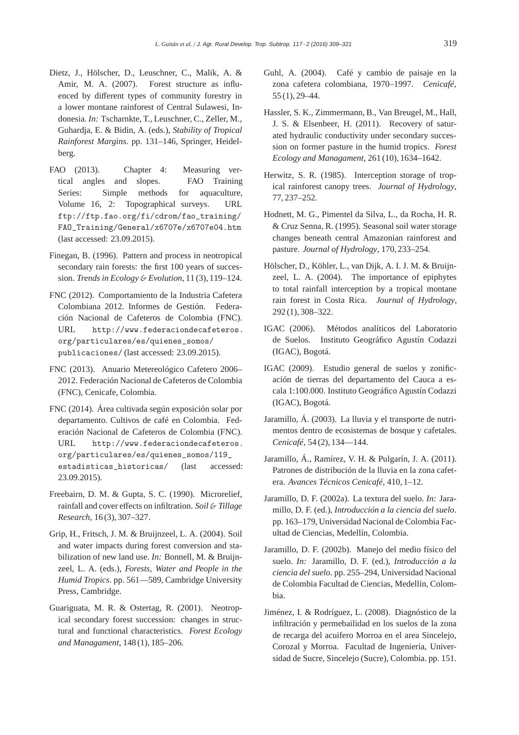- Dietz, J., Hölscher, D., Leuschner, C., Malik, A. & Amir, M. A. (2007). Forest structure as influenced by different types of community forestry in a lower montane rainforest of Central Sulawesi, Indonesia. *In:* Tscharnkte, T., Leuschner, C., Zeller, M., Guhardja, E. & Bidin, A. (eds.), *Stability of Tropical Rainforest Margins*. pp. 131–146, Springer, Heidelberg.
- FAO (2013). Chapter 4: Measuring vertical angles and slopes. FAO Training Series: Simple methods for aquaculture, Volume 16, 2: Topographical surveys. URL ftp://ftp.fao.org/fi/cdrom/fao\_training/ FAO\_Training/General/x6707e/x6707e04.htm (last accessed: 23.09.2015).
- Finegan, B. (1996). Pattern and process in neotropical secondary rain forests: the first 100 years of succession. *Trends in Ecology* & *Evolution*, 11 (3), 119–124.
- FNC (2012). Comportamiento de la Industria Cafetera Colombiana 2012. Informes de Gestión. Federación Nacional de Cafeteros de Colombia (FNC). URL http://www.federaciondecafeteros. org/particulares/es/quienes\_somos/ publicaciones/ (last accessed: 23.09.2015).
- FNC (2013). Anuario Metereológico Cafetero 2006– 2012. Federación Nacional de Cafeteros de Colombia (FNC), Cenicafe, Colombia.
- FNC (2014). Área cultivada según exposición solar por departamento. Cultivos de café en Colombia. Federación Nacional de Cafeteros de Colombia (FNC). URL http://www.federaciondecafeteros. org/particulares/es/quienes\_somos/119\_ estadisticas\_historicas/ (last accessed: 23.09.2015).
- Freebairn, D. M. & Gupta, S. C. (1990). Microrelief, rainfall and cover effects on infiltration. *Soil* & *Tillage Research*, 16 (3), 307–327.
- Grip, H., Fritsch, J. M. & Bruijnzeel, L. A. (2004). Soil and water impacts during forest conversion and stabilization of new land use. *In:* Bonnell, M. & Bruijnzeel, L. A. (eds.), *Forests, Water and People in the Humid Tropics*. pp. 561—589, Cambridge University Press, Cambridge.
- Guariguata, M. R. & Ostertag, R. (2001). Neotropical secondary forest succession: changes in structural and functional characteristics. *Forest Ecology and Managament*, 148 (1), 185–206.
- Guhl, A. (2004). Café y cambio de paisaje en la zona cafetera colombiana, 1970–1997. *Cenicafé*, 55 (1), 29–44.
- Hassler, S. K., Zimmermann, B., Van Breugel, M., Hall, J. S. & Elsenbeer, H. (2011). Recovery of saturated hydraulic conductivity under secondary succession on former pasture in the humid tropics. *Forest Ecology and Managament*, 261 (10), 1634–1642.
- Herwitz, S. R. (1985). Interception storage of tropical rainforest canopy trees. *Journal of Hydrology*, 77, 237–252.
- Hodnett, M. G., Pimentel da Silva, L., da Rocha, H. R. & Cruz Senna, R. (1995). Seasonal soil water storage changes beneath central Amazonian rainforest and pasture. *Journal of Hydrology*, 170, 233–254.
- Hölscher, D., Köhler, L., van Dijk, A. I. J. M. & Bruijnzeel, L. A. (2004). The importance of epiphytes to total rainfall interception by a tropical montane rain forest in Costa Rica. *Journal of Hydrology*, 292 (1), 308–322.
- IGAC (2006). Métodos analíticos del Laboratorio de Suelos. Instituto Geográfico Agustín Codazzi (IGAC), Bogotá.
- IGAC (2009). Estudio general de suelos y zonificación de tierras del departamento del Cauca a escala 1:100.000. Instituto Geográfico Agustín Codazzi (IGAC), Bogotá.
- Jaramillo, Á. (2003). La lluvia y el transporte de nutrimentos dentro de ecosistemas de bosque y cafetales. *Cenicafé*, 54 (2), 134—144.
- Jaramillo, Á., Ramírez, V. H. & Pulgarín, J. A. (2011). Patrones de distribución de la lluvia en la zona cafetera. *Avances Técnicos Cenicafé*, 410, 1–12.
- Jaramillo, D. F. (2002a). La textura del suelo. *In:* Jaramillo, D. F. (ed.), *Introducción a la ciencia del suelo*. pp. 163–179, Universidad Nacional de Colombia Facultad de Ciencias, Medellín, Colombia.
- Jaramillo, D. F. (2002b). Manejo del medio físico del suelo. *In:* Jaramillo, D. F. (ed.), *Introducción a la ciencia del suelo*. pp. 255–294, Universidad Nacional de Colombia Facultad de Ciencias, Medellín, Colombia.
- Jiménez, I. & Rodríguez, L. (2008). Diagnóstico de la infiltración y permebailidad en los suelos de la zona de recarga del acuifero Morroa en el area Sincelejo, Corozal y Morroa. Facultad de Ingenieria, Universidad de Sucre, Sincelejo (Sucre), Colombia. pp. 151.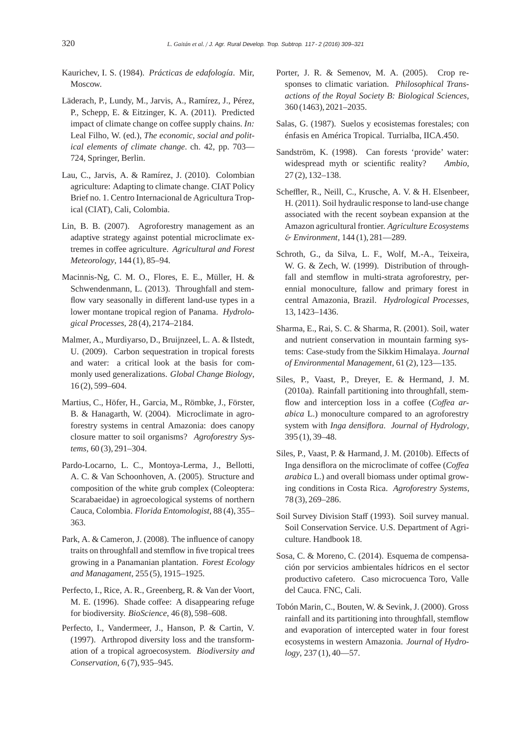- Kaurichev, I. S. (1984). *Prácticas de edafología*. Mir, Moscow.
- Läderach, P., Lundy, M., Jarvis, A., Ramírez, J., Pérez, P., Schepp, E. & Eitzinger, K. A. (2011). Predicted impact of climate change on coffee supply chains. *In:* Leal Filho, W. (ed.), *The economic, social and political elements of climate change*. ch. 42, pp. 703— 724, Springer, Berlin.
- Lau, C., Jarvis, A. & Ramírez, J. (2010). Colombian agriculture: Adapting to climate change. CIAT Policy Brief no. 1. Centro Internacional de Agricultura Tropical (CIAT), Cali, Colombia.
- Lin, B. B. (2007). Agroforestry management as an adaptive strategy against potential microclimate extremes in coffee agriculture. *Agricultural and Forest Meteorology*, 144 (1), 85–94.
- Macinnis-Ng, C. M. O., Flores, E. E., Müller, H. & Schwendenmann, L. (2013). Throughfall and stemflow vary seasonally in different land-use types in a lower montane tropical region of Panama. *Hydrological Processes*, 28 (4), 2174–2184.
- Malmer, A., Murdiyarso, D., Bruijnzeel, L. A. & Ilstedt, U. (2009). Carbon sequestration in tropical forests and water: a critical look at the basis for commonly used generalizations. *Global Change Biology*, 16 (2), 599–604.
- Martius, C., Höfer, H., Garcia, M., Römbke, J., Förster, B. & Hanagarth, W. (2004). Microclimate in agroforestry systems in central Amazonia: does canopy closure matter to soil organisms? *Agroforestry Systems*, 60 (3), 291–304.
- Pardo-Locarno, L. C., Montoya-Lerma, J., Bellotti, A. C. & Van Schoonhoven, A. (2005). Structure and composition of the white grub complex (Coleoptera: Scarabaeidae) in agroecological systems of northern Cauca, Colombia. *Florida Entomologist*, 88 (4), 355– 363.
- Park, A. & Cameron, J. (2008). The influence of canopy traits on throughfall and stemflow in five tropical trees growing in a Panamanian plantation. *Forest Ecology and Managament*, 255 (5), 1915–1925.
- Perfecto, I., Rice, A. R., Greenberg, R. & Van der Voort, M. E. (1996). Shade coffee: A disappearing refuge for biodiversity. *BioScience*, 46 (8), 598–608.
- Perfecto, I., Vandermeer, J., Hanson, P. & Cartin, V. (1997). Arthropod diversity loss and the transformation of a tropical agroecosystem. *Biodiversity and Conservation*, 6 (7), 935–945.
- Porter, J. R. & Semenov, M. A. (2005). Crop responses to climatic variation. *Philosophical Transactions of the Royal Society B: Biological Sciences*, 360 (1463), 2021–2035.
- Salas, G. (1987). Suelos y ecosistemas forestales; con énfasis en América Tropical. Turrialba, IICA.450.
- Sandström, K. (1998). Can forests 'provide' water: widespread myth or scientific reality? *Ambio*, 27 (2), 132–138.
- Scheffler, R., Neill, C., Krusche, A. V. & H. Elsenbeer, H. (2011). Soil hydraulic response to land-use change associated with the recent soybean expansion at the Amazon agricultural frontier. *Agriculture Ecosystems* & *Environment*, 144 (1), 281—289.
- Schroth, G., da Silva, L. F., Wolf, M.-A., Teixeira, W. G. & Zech, W. (1999). Distribution of throughfall and stemflow in multi-strata agroforestry, perennial monoculture, fallow and primary forest in central Amazonia, Brazil. *Hydrological Processes*, 13, 1423–1436.
- Sharma, E., Rai, S. C. & Sharma, R. (2001). Soil, water and nutrient conservation in mountain farming systems: Case-study from the Sikkim Himalaya. *Journal of Environmental Management*, 61 (2), 123—135.
- Siles, P., Vaast, P., Dreyer, E. & Hermand, J. M. (2010a). Rainfall partitioning into throughfall, stemflow and interception loss in a coffee (Coffea ar*abica* L.) monoculture compared to an agroforestry system with *Inga densiflora*. *Journal of Hydrology*, 395 (1), 39–48.
- Siles, P., Vaast, P. & Harmand, J. M. (2010b). Effects of Inga densiflora on the microclimate of coffee (*Co*ff*ea arabica* L.) and overall biomass under optimal growing conditions in Costa Rica. *Agroforestry Systems*, 78 (3), 269–286.
- Soil Survey Division Staff (1993). Soil survey manual. Soil Conservation Service. U.S. Department of Agriculture. Handbook 18.
- Sosa, C. & Moreno, C. (2014). Esquema de compensación por servicios ambientales hídricos en el sector productivo cafetero. Caso microcuenca Toro, Valle del Cauca. FNC, Cali.
- Tobón Marin, C., Bouten, W. & Sevink, J. (2000). Gross rainfall and its partitioning into throughfall, stemflow and evaporation of intercepted water in four forest ecosystems in western Amazonia. *Journal of Hydrology*, 237 (1), 40—57.